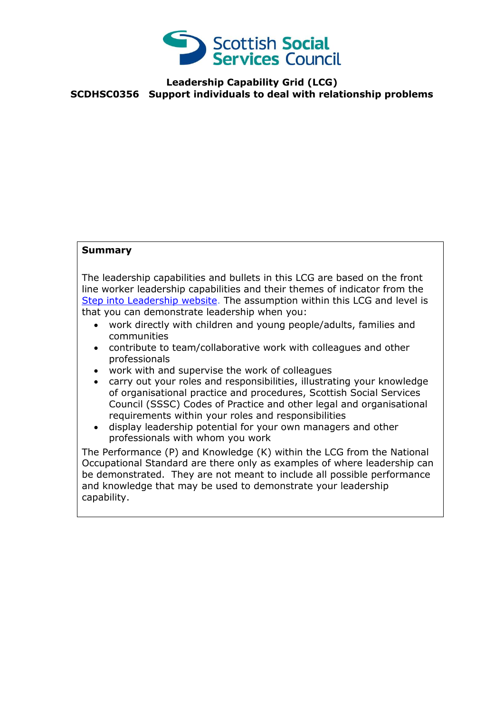

## **Leadership Capability Grid (LCG) SCDHSC0356 Support individuals to deal with relationship problems**

## **Summary**

The leadership capabilities and bullets in this LCG are based on the front line worker leadership capabilities and their themes of indicator from the [Step into Leadership website.](http://www.stepintoleadership.info/) The assumption within this LCG and level is that you can demonstrate leadership when you:

- work directly with children and young people/adults, families and communities
- contribute to team/collaborative work with colleagues and other professionals
- work with and supervise the work of colleagues
- carry out your roles and responsibilities, illustrating your knowledge of organisational practice and procedures, Scottish Social Services Council (SSSC) Codes of Practice and other legal and organisational requirements within your roles and responsibilities
- display leadership potential for your own managers and other professionals with whom you work

The Performance (P) and Knowledge (K) within the LCG from the National Occupational Standard are there only as examples of where leadership can be demonstrated. They are not meant to include all possible performance and knowledge that may be used to demonstrate your leadership capability.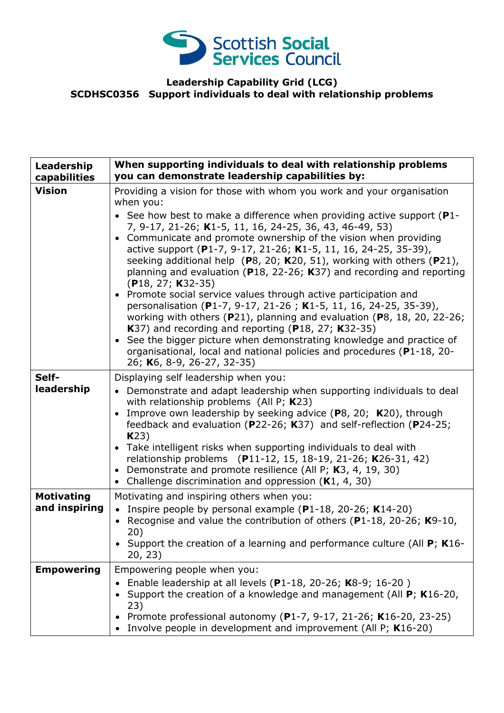

## **Leadership Capability Grid (LCG) SCDHSC0356 Support individuals to deal with relationship problems**

| Leadership<br>capabilities         | When supporting individuals to deal with relationship problems<br>you can demonstrate leadership capabilities by:                                                                                                                                                                                                                                                                                                                                                                                                                                                                                                                                                                                                                                                                                                                                                                                                                                                                                            |
|------------------------------------|--------------------------------------------------------------------------------------------------------------------------------------------------------------------------------------------------------------------------------------------------------------------------------------------------------------------------------------------------------------------------------------------------------------------------------------------------------------------------------------------------------------------------------------------------------------------------------------------------------------------------------------------------------------------------------------------------------------------------------------------------------------------------------------------------------------------------------------------------------------------------------------------------------------------------------------------------------------------------------------------------------------|
| <b>Vision</b>                      | Providing a vision for those with whom you work and your organisation<br>when you:<br>• See how best to make a difference when providing active support ( $P1$ -<br>7, 9-17, 21-26; K1-5, 11, 16, 24-25, 36, 43, 46-49, 53)<br>• Communicate and promote ownership of the vision when providing<br>active support (P1-7, 9-17, 21-26; K1-5, 11, 16, 24-25, 35-39),<br>seeking additional help ( $P8$ , 20; K20, 51), working with others ( $P21$ ),<br>planning and evaluation (P18, 22-26; K37) and recording and reporting<br>$(P18, 27; K32-35)$<br>• Promote social service values through active participation and<br>personalisation (P1-7, 9-17, 21-26; K1-5, 11, 16, 24-25, 35-39),<br>working with others (P21), planning and evaluation (P8, 18, 20, 22-26;<br>K37) and recording and reporting (P18, 27; K32-35)<br>• See the bigger picture when demonstrating knowledge and practice of<br>organisational, local and national policies and procedures (P1-18, 20-<br>26; K6, 8-9, 26-27, 32-35) |
| Self-<br>leadership                | Displaying self leadership when you:<br>• Demonstrate and adapt leadership when supporting individuals to deal<br>with relationship problems (All P; $K23$ )<br>Improve own leadership by seeking advice (P8, 20; K20), through<br>feedback and evaluation ( $P$ 22-26; K37) and self-reflection ( $P$ 24-25;<br>K23)<br>• Take intelligent risks when supporting individuals to deal with<br>relationship problems (P11-12, 15, 18-19, 21-26; K26-31, 42)<br>Demonstrate and promote resilience (All P; K3, 4, 19, 30)<br>$\bullet$<br>Challenge discrimination and oppression $(K1, 4, 30)$<br>$\bullet$                                                                                                                                                                                                                                                                                                                                                                                                   |
| <b>Motivating</b><br>and inspiring | Motivating and inspiring others when you:<br>• Inspire people by personal example $(P1-18, 20-26; K14-20)$<br>Recognise and value the contribution of others (P1-18, 20-26; K9-10,<br>20)<br>Support the creation of a learning and performance culture (All $P$ ; K16-<br>20, 23)                                                                                                                                                                                                                                                                                                                                                                                                                                                                                                                                                                                                                                                                                                                           |
| <b>Empowering</b>                  | Empowering people when you:<br>Enable leadership at all levels (P1-18, 20-26; K8-9; 16-20)<br>Support the creation of a knowledge and management (All P; K16-20,<br>23)<br>Promote professional autonomy (P1-7, 9-17, 21-26; K16-20, 23-25)<br>Involve people in development and improvement (All P; K16-20)                                                                                                                                                                                                                                                                                                                                                                                                                                                                                                                                                                                                                                                                                                 |